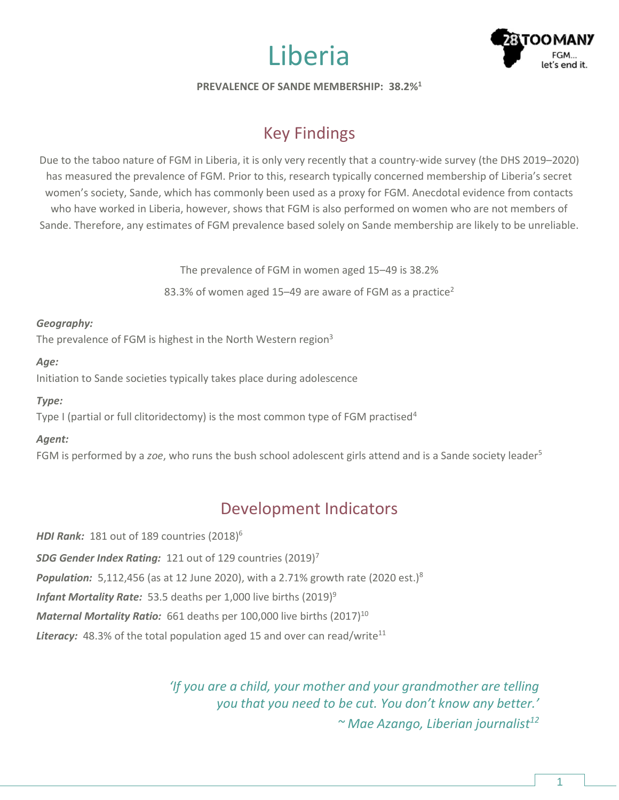



**PREVALENCE OF SANDE MEMBERSHIP: 38.2%<sup>1</sup>**

# Key Findings

Due to the taboo nature of FGM in Liberia, it is only very recently that a country-wide survey (the DHS 2019–2020) has measured the prevalence of FGM. Prior to this, research typically concerned membership of Liberia's secret women's society, Sande, which has commonly been used as a proxy for FGM. Anecdotal evidence from contacts who have worked in Liberia, however, shows that FGM is also performed on women who are not members of Sande. Therefore, any estimates of FGM prevalence based solely on Sande membership are likely to be unreliable.

The prevalence of FGM in women aged 15–49 is 38.2%

83.3% of women aged 15–49 are aware of FGM as a practice<sup>2</sup>

#### *Geography:*

The prevalence of FGM is highest in the North Western region<sup>3</sup>

#### *Age:*

Initiation to Sande societies typically takes place during adolescence

### *Type:*

Type I (partial or full clitoridectomy) is the most common type of FGM practised<sup>4</sup>

## *Agent:*

FGM is performed by a *zoe*, who runs the bush school adolescent girls attend and is a Sande society leader<sup>5</sup>

# Development Indicators

*HDI Rank:* 181 out of 189 countries (2018) 6 *SDG Gender Index Rating:* 121 out of 129 countries (2019)<sup>7</sup> **Population:** 5,112,456 (as at 12 June 2020), with a 2.71% growth rate (2020 est.)<sup>8</sup> *Infant Mortality Rate:* 53.5 deaths per 1,000 live births (2019) 9 *Maternal Mortality Ratio:* 661 deaths per 100,000 live births (2017) 10 **Literacy:** 48.3% of the total population aged 15 and over can read/write<sup>11</sup>

> *'If you are a child, your mother and your grandmother are telling you that you need to be cut. You don't know any better.' ~ Mae Azango, Liberian journalist12*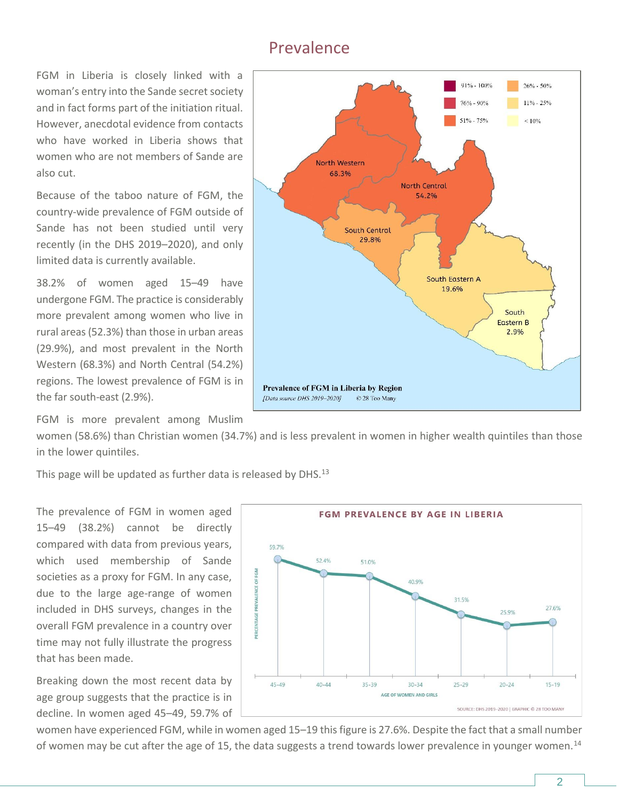## Prevalence

FGM in Liberia is closely linked with a woman's entry into the Sande secret society and in fact forms part of the initiation ritual. However, anecdotal evidence from contacts who have worked in Liberia shows that women who are not members of Sande are also cut.

Because of the taboo nature of FGM, the country-wide prevalence of FGM outside of Sande has not been studied until very recently (in the DHS 2019–2020), and only limited data is currently available.

38.2% of women aged 15–49 have undergone FGM. The practice is considerably more prevalent among women who live in rural areas (52.3%) than those in urban areas (29.9%), and most prevalent in the North Western (68.3%) and North Central (54.2%) regions. The lowest prevalence of FGM is in the far south-east (2.9%).

FGM is more prevalent among Muslim

women (58.6%) than Christian women (34.7%) and is less prevalent in women in higher wealth quintiles than those in the lower quintiles.

This page will be updated as further data is released by DHS. $^{13}$ 

The prevalence of FGM in women aged 15–49 (38.2%) cannot be directly compared with data from previous years, which used membership of Sande societies as a proxy for FGM. In any case, due to the large age-range of women included in DHS surveys, changes in the overall FGM prevalence in a country over time may not fully illustrate the progress that has been made.

Breaking down the most recent data by age group suggests that the practice is in decline. In women aged 45–49, 59.7% of





women have experienced FGM, while in women aged 15–19 this figure is 27.6%. Despite the fact that a small number of women may be cut after the age of 15, the data suggests a trend towards lower prevalence in younger women.<sup>14</sup>